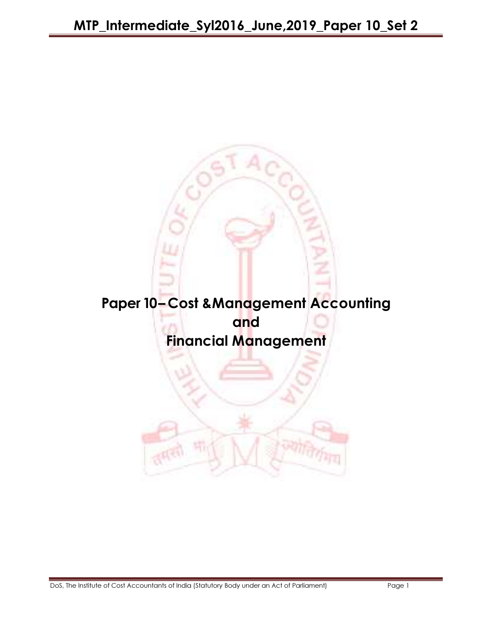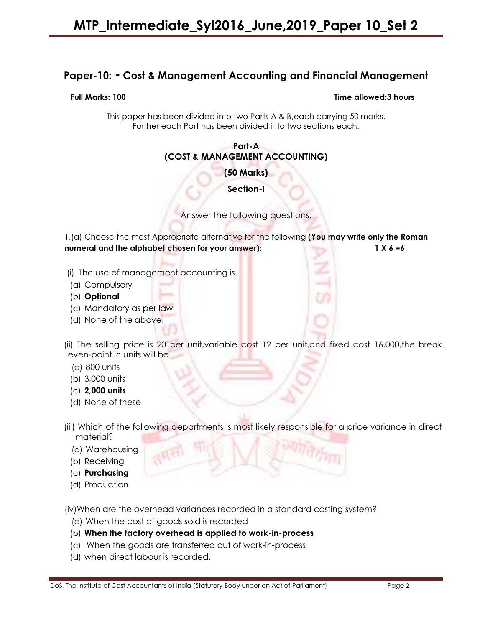# Paper-10: - Cost & Management Accounting and Financial Management

#### Full Marks: 100 Time allowed:3 hours

This paper has been divided into two Parts A & B,each carrying 50 marks. Further each Part has been divided into two sections each.

#### Part-A (COST & MANAGEMENT ACCOUNTING)

(50 Marks)

Section-I

Answer the following questions.

1.(a) Choose the most Appropriate alternative for the following (You may write only the Roman numeral and the alphabet chosen for your answer); 1 X 6 =6

- (i) The use of management accounting is
- (a) Compulsory
- (b) Optional
- (c) Mandatory as per law
- (d) None of the above.

 (ii) The selling price is 20 per unit,variable cost 12 per unit,and fixed cost 16,000,the break even-point in units will be

- (a) 800 units
- (b) 3,000 units
- (c) 2,000 units
- (d) None of these
- (iii) Which of the following departments is most likely responsible for a price variance in direct material?
	- (a) Warehousing
	- (b) Receiving
	- (c) Purchasing
	- (d) Production

(iv)When are the overhead variances recorded in a standard costing system?

- (a) When the cost of goods sold is recorded
- (b) When the factory overhead is applied to work-in-process
- (c) When the goods are transferred out of work-in-process
- (d) when direct labour is recorded.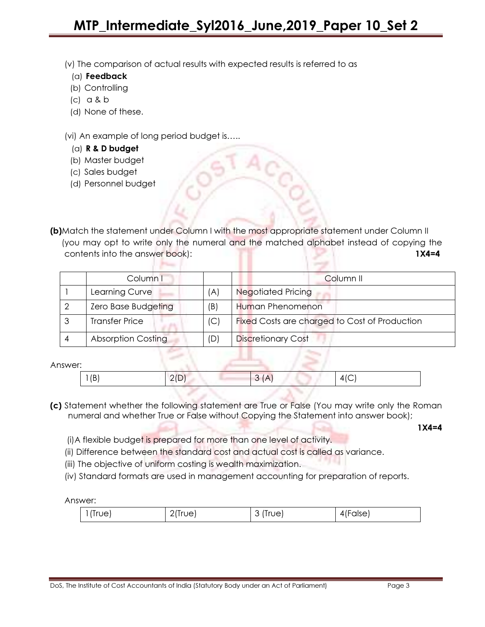(v) The comparison of actual results with expected results is referred to as

- (a) Feedback
- (b) Controlling
- (c) a & b
- (d) None of these.

(vi) An example of long period budget is…..

**Primary Co.** 

- (a) R & D budget
- (b) Master budget
- (c) Sales budget
- (d) Personnel budget

(b)Match the statement under Column I with the most appropriate statement under Column II (you may opt to write only the numeral and the matched alphabet instead of copying the contents into the answer book): 1X4=4

| Column I                  |     | Column <sub>II</sub>                          |
|---------------------------|-----|-----------------------------------------------|
| Learning Curve            | (A) | <b>Negotiated Pricing</b>                     |
| Zero Base Budgeting       | (B) | Human Phenomenon                              |
| <b>Transfer Price</b>     | (C  | Fixed Costs are charged to Cost of Production |
| <b>Absorption Costing</b> | (D) | <b>Discretionary Cost</b>                     |

 $\mathbf{L}_{\mathbf{L},\mathbf{L}}$ 

#### Answer:

| (D)<br>╵ | $\tilde{\phantom{a}}$<br>– | $\sim$<br>∽ |
|----------|----------------------------|-------------|
|          |                            |             |

(c) Statement whether the following statement are True or False (You may write only the Roman numeral and whether True or False without Copying the Statement into answer book);

1X4=4

- (i)A flexible budget is prepared for more than one level of activity.
- (ii) Difference between the standard cost and actual cost is called as variance.
- (iii) The objective of uniform costing is wealth maximization.
- (iv) Standard formats are used in management accounting for preparation of reports.

Answer:

| $1$ (True) | $2$ (True) | (Irue)<br>ັ | 4(False) |
|------------|------------|-------------|----------|
|------------|------------|-------------|----------|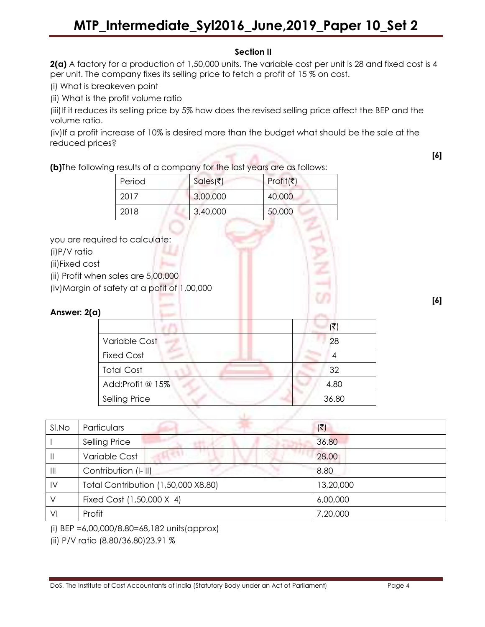### Section II

2(a) A factory for a production of 1,50,000 units. The variable cost per unit is 28 and fixed cost is 4 per unit. The company fixes its selling price to fetch a profit of 15 % on cost.

(i) What is breakeven point

(ii) What is the profit volume ratio

(iii)If it reduces its selling price by 5% how does the revised selling price affect the BEP and the volume ratio.

(iv)If a profit increase of 10% is desired more than the budget what should be the sale at the reduced prices?

(b)The following results of a company for the last years are as follows:

| Period | Sales(₹) | Profit(₹) |
|--------|----------|-----------|
| 2017   | 3,00,000 | 40,000    |
| 2018   | 3,40,000 | 50,000    |

you are required to calculate:

(i)P/V ratio

(ii)Fixed cost

(ii) Profit when sales are 5,00,000

(iv)Margin of safety at a pofit of 1,00,000

#### Answer: 2(a)

| Variable Cost        | 28    |
|----------------------|-------|
| <b>Fixed Cost</b>    |       |
| <b>Total Cost</b>    | 32    |
| Add:Profit @ 15%     | 4.80  |
| <b>Selling Price</b> | 36.80 |

[6]

[6]

| SI.No                 | Particulars                         | $(\overline{\mathbf{z}})$ |
|-----------------------|-------------------------------------|---------------------------|
|                       | <b>Selling Price</b>                | 36.80                     |
| Ш                     | Variable Cost                       | 28.00                     |
| $\parallel \parallel$ | Contribution (I-II)                 | 8.80                      |
| $\mathsf{IV}$         | Total Contribution (1,50,000 X8.80) | 13,20,000                 |
|                       | Fixed Cost (1,50,000 X 4)           | 6,00,000                  |
| VI                    | Profit                              | 7,20,000                  |

 $\mathbf{A}$ 

(i) BEP =6,00,000/8.80=68,182 units(approx)

(ii) P/V ratio (8.80/36.80)23.91 %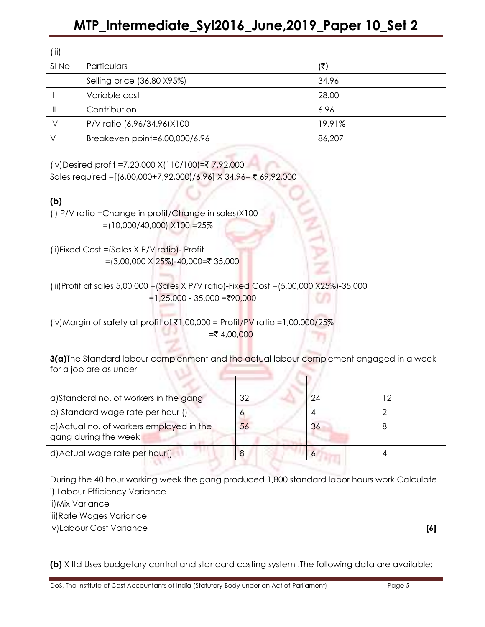| (III)          |                               |        |
|----------------|-------------------------------|--------|
| SI No          | Particulars                   | (₹)    |
|                | Selling price (36.80 X95%)    | 34.96  |
| $\mathbf{I}$   | Variable cost                 | 28.00  |
| $\mathbf{III}$ | Contribution                  | 6.96   |
| $\mathsf{IV}$  | P/V ratio (6.96/34.96)X100    | 19.91% |
|                | Breakeven point=6,00,000/6.96 | 86,207 |

(iv)Desired profit =7,20,000 X(110/100)=₹ 7,92,000

Sales required =[(6,00,000+7,92,000)/6.96] X 34.96= ₹ 69,92,000

### (b)

 $\overline{I}$ ::

(i) P/V ratio =Change in profit/Change in sales)X100  $=$ (10,000/40,000)  $\times$ 100 = 25%

(ii)Fixed Cost =(Sales X P/V ratio)- Profit =(3,00,000 X 25%)-40,000=₹ 35,000

(iii)Profit at sales 5,00,000 =(Sales X P/V ratio)-Fixed Cost =(5,00,000 X25%)-35,000  $=1,25,000 - 35,000 = ₹90,000$ 

(iv)Margin of safety at profit of  $\bar{\tau}$ 1,00,000 = Profit/PV ratio =1,00,000/25%  $= 4,00,000$ 

3(a)The Standard labour complenment and the actual labour complement engaged in a week for a job are as under

| a) Standard no. of workers in the gang                           | 32 | 24 |  |
|------------------------------------------------------------------|----|----|--|
| b) Standard wage rate per hour ()                                |    |    |  |
| c) Actual no. of workers employed in the<br>gang during the week | 56 | 36 |  |
| d) Actual wage rate per hour()                                   |    |    |  |

During the 40 hour working week the gang produced 1,800 standard labor hours work.Calculate i) Labour Efficiency Variance

ii)Mix Variance

iii)Rate Wages Variance

iv)Labour Cost Variance [6]

(b) X ltd Uses budgetary control and standard costing system .The following data are available: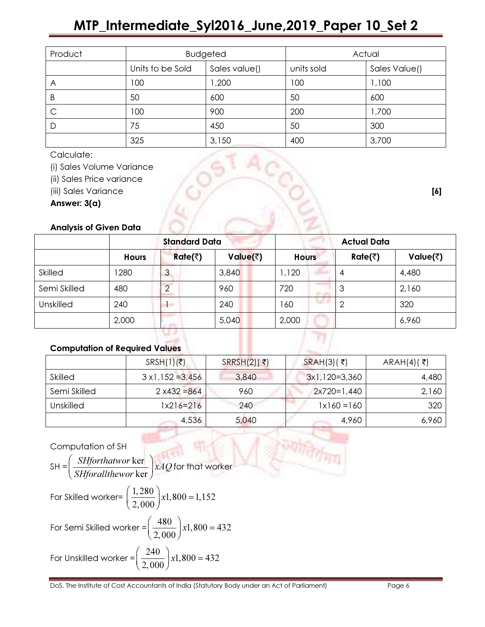| Product |                  | <b>Budgeted</b> | Actual     |               |
|---------|------------------|-----------------|------------|---------------|
|         | Units to be Sold | Sales value()   | units sold | Sales Value() |
| A       | 100              | ,200            | 100        | 1,100         |
| B       | 50               | 600             | 50         | 600           |
| C       | 100              | 900             | 200        | 1,700         |
| D       | 75               | 450             | 50         | 300           |
|         | 325              | 3,150           | 400        | 3,700         |

Calculate:

(i) Sales Volume Variance

(ii) Sales Price variance

(iii) Sales Variance [6]

Answer: 3(a)

# Analysis of Given Data

|                  | <b>Standard Data</b> |                | <b>Actual Data</b> |              |         |                    |
|------------------|----------------------|----------------|--------------------|--------------|---------|--------------------|
|                  | <b>Hours</b>         | <b>Rate(₹)</b> | Value(₹)           | <b>Hours</b> | Rate(₹) | Value( $\bar{z}$ ) |
| <b>Skilled</b>   | 280                  | ر              | 3,840              | 1,120        | 4       | 4,480              |
| Semi Skilled     | 480                  |                | 960                | 720          | 3       | 2,160              |
| <b>Unskilled</b> | 240                  | <b>COLLEGE</b> | 240                | 160          | ာ       | 320                |
|                  | 2,000                |                | 5,040              | 2,000        |         | 6,960              |

### Computation of Required Values

|              | $SRSH(1)(\overline{z})$  | $SRRSH(2)$ (₹) | $SRAH(3)$ (₹)        | ARAH $(4)$ $($ ₹ $)$ |
|--------------|--------------------------|----------------|----------------------|----------------------|
| Skilled      | $3 \times 1,152 = 3,456$ | 3,840          | $3x1,120=3,360$      | 4,480                |
| Semi Skilled | $2 x432 = 864$           | 960            | $2x720=1,440$        | 2,160                |
| Unskilled    | 1x216=216                | 240            | $1 \times 160 = 160$ | 320                  |
|              | 4,536                    | 5,040          | 4,960                | 6,960                |

ज्याति

# Computation of SH

Computation of SH  
\nSH = 
$$
\left(\frac{SHforthatwor \text{ker}}{SHforallthewor \text{ker}}\right) xAQ
$$
 for that worker  
\nFor Skilled worker =  $\left(\frac{1,280}{2,000}\right) x1,800 = 1,152$   
\nFor Semi Skilled worker =  $\left(\frac{480}{2,000}\right) x1,800 = 432$   
\nFor Unskilled worker =  $\left(\frac{240}{2,000}\right) x1,800 = 432$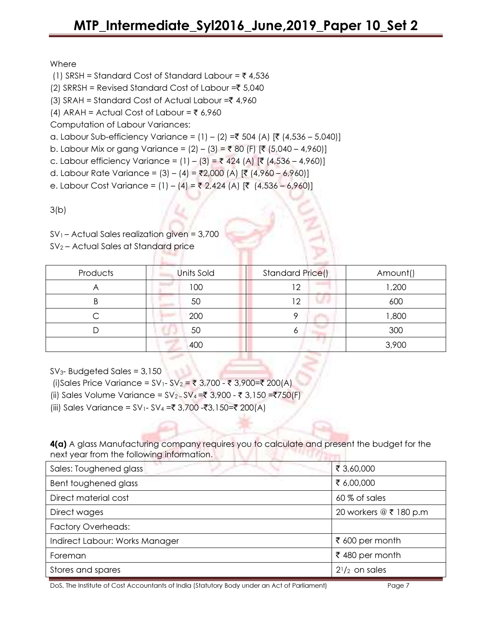### Where

- (1) SRSH = Standard Cost of Standard Labour =  $\bar{\tau}$  4,536
- (2) SRRSH = Revised Standard Cost of Labour = $\overline{\xi}$  5,040
- (3) SRAH = Standard Cost of Actual Labour = $\bar{z}$  4,960
- (4) ARAH = Actual Cost of Labour =  $\overline{z}$  6,960

Computation of Labour Variances:

- a. Labour Sub-efficiency Variance =  $(1) (2) = ₹ 504$  (A)  $[ ₹ (4,536 5,040)]$
- b. Labour Mix or gang Variance =  $(2) (3) = ₹80$  (F)  $[ ₹ (5,040 4,960)]$
- c. Labour efficiency Variance =  $(1) (3) = ₹ 424$  (A)  $[ ₹ (4,536 4,960)]$
- d. Labour Rate Variance = (3) (4) = ₹2,000 (A) [₹ (4,960 6,960)]
- e. Labour Cost Variance = (1) (4) = ₹ 2,424 (A) [₹ (4,536 6,960)]

 $3(b)$ 

 $SV<sub>1</sub>$  – Actual Sales realization given = 3,700

SV2 – Actual Sales at Standard price

| Products | Units Sold | Standard Price() | Amount() |
|----------|------------|------------------|----------|
|          | 100        | $\overline{1}$   | 1,200    |
|          | 50         | ∩ו               | 600      |
|          | 200        | O                | ,800     |
|          | 50         | o                | 300      |
|          | 400        |                  | 3,900    |

 $SV<sub>3</sub>$ - Budgeted Sales = 3,150

- (i)Sales Price Variance =  $SV_1$   $SV_2$  = ₹ 3,700 ₹ 3,900=₹ 200(A)
- (ii) Sales Volume Variance =  $SV_2$ -SV<sub>4</sub> =₹ 3,900 ₹ 3,150 =₹750(F)
- (iii) Sales Variance = SV<sub>1</sub>- SV<sub>4</sub> =₹ 3,700 -₹3,150=₹ 200(A)

4(a) A glass Manufacturing company requires you to calculate and present the budget for the next year from the following information.

| Sales: Toughened glass         | ₹ 3,60,000             |
|--------------------------------|------------------------|
| Bent toughened glass           | ₹ 6,00,000             |
| Direct material cost           | 60 % of sales          |
| Direct wages                   | 20 workers @ ₹ 180 p.m |
| <b>Factory Overheads:</b>      |                        |
| Indirect Labour: Works Manager | ₹ 600 per month        |
| Foreman                        | ₹480 per month         |
| Stores and spares              | $2^{1}/2$ on sales     |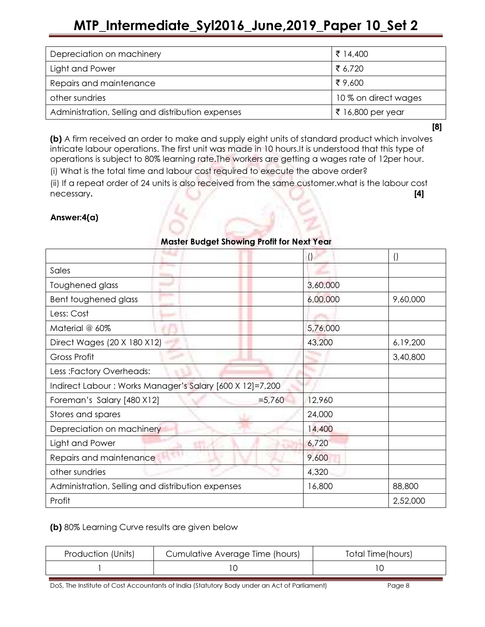| Depreciation on machinery                         | ₹ 14,400             |
|---------------------------------------------------|----------------------|
| Light and Power                                   | ₹ 6.720              |
| Repairs and maintenance                           | ₹ 9,600              |
| other sundries                                    | 10 % on direct wages |
| Administration, Selling and distribution expenses | ₹ 16,800 per year    |

[8]

(b) A firm received an order to make and supply eight units of standard product which involves intricate labour operations. The first unit was made in 10 hours.It is understood that this type of operations is subject to 80% learning rate.The workers are getting a wages rate of 12per hour. (i) What is the total time and labour cost required to execute the above order?

(ii) If a repeat order of 24 units is also received from the same customer.what is the labour cost necessary. [4]

### Answer:4(a)

|                                                          | $\cup$   | $\cup$   |
|----------------------------------------------------------|----------|----------|
| Sales                                                    |          |          |
| Toughened glass                                          | 3,60,000 |          |
| Bent toughened glass                                     | 6,00,000 | 9,60,000 |
| Less: Cost                                               |          |          |
| Material @ 60%                                           | 5,76,000 |          |
| Direct Wages (20 X 180 X12)                              | 43,200   | 6,19,200 |
| Gross Profit                                             |          | 3,40,800 |
| Less :Factory Overheads:                                 |          |          |
| Indirect Labour: Works Manager's Salary [600 X 12]=7,200 |          |          |
| Foreman's Salary [480 X12]<br>$= 5,760$                  | 12,960   |          |
| Stores and spares                                        | 24,000   |          |
| Depreciation on machinery                                | 14,400   |          |
| Light and Power                                          | 6,720    |          |
| Repairs and maintenance                                  | 9,600    |          |
| other sundries                                           | 4,320    |          |
| Administration, Selling and distribution expenses        | 16,800   | 88,800   |
| Profit                                                   |          | 2,52,000 |

### Master Budget Showing Profit for Next Year

#### (b) 80% Learning Curve results are given below

| Production (Units) | Cumulative Average Time (hours) | Total Time(hours) |
|--------------------|---------------------------------|-------------------|
|                    |                                 |                   |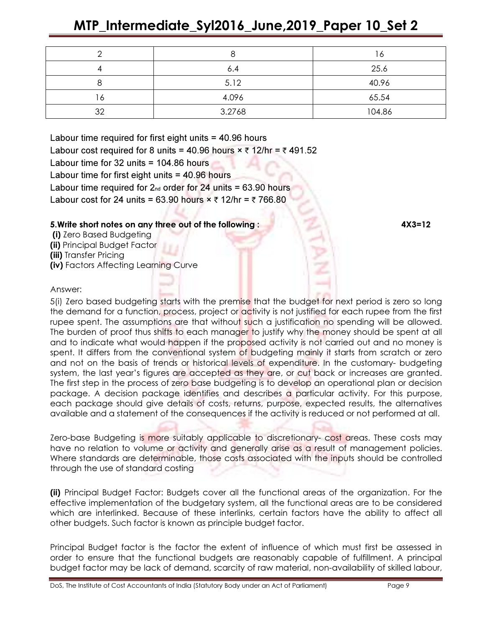|    |        | 16     |
|----|--------|--------|
|    | 6.4    | 25.6   |
|    | 5.12   | 40.96  |
| Ô  | 4.096  | 65.54  |
| 32 | 3.2768 | 104.86 |

Labour time required for first eight units = 40.96 hours Labour cost required for 8 units = 40.96 hours  $\times \overline{\tau}$  12/hr =  $\overline{\tau}$  491.52 Labour time for 32 units = 104.86 hours Labour time for first eight units = 40.96 hours Labour time required for  $2<sub>nd</sub>$  order for 24 units = 63.90 hours Labour cost for 24 units = 63.90 hours  $\times$  ₹ 12/hr = ₹ 766.80

#### 5.Write short notes on any three out of the following : 4X3=12

- (i) Zero Based Budgeting
- (ii) Principal Budget Factor
- (iii) Transfer Pricing
- (iv) Factors Affecting Learning Curve

#### Answer:

5(i) Zero based budgeting starts with the premise that the budget for next period is zero so long the demand for a function, process, project or activity is not justified for each rupee from the first rupee spent. The assumptions are that without such a justification no spending will be allowed. The burden of proof thus shifts to each manager to justify why the money should be spent at all and to indicate what would happen if the proposed activity is not carried out and no money is spent. It differs from the conventional system of budgeting mainly it starts from scratch or zero and not on the basis of trends or historical levels of expenditure. In the customary- budgeting system, the last year's figures are accepted as they are, or cut back or increases are granted. The first step in the process of zero base budgeting is to develop an operational plan or decision package. A decision package identifies and describes a particular activity. For this purpose, each package should give details of costs, returns, purpose, expected results, the alternatives available and a statement of the consequences if the activity is reduced or not performed at all.

Zero-base Budgeting is more suitably applicable to discretionary- cost areas. These costs may have no relation to volume or activity and generally arise as a result of management policies. Where standards are determinable, those costs associated with the inputs should be controlled through the use of standard costing

(ii) Principal Budget Factor: Budgets cover all the functional areas of the organization. For the effective implementation of the budgetary system, all the functional areas are to be considered which are interlinked. Because of these interlinks, certain factors have the ability to affect all other budgets. Such factor is known as principle budget factor.

Principal Budget factor is the factor the extent of influence of which must first be assessed in order to ensure that the functional budgets are reasonably capable of fulfillment. A principal budget factor may be lack of demand, scarcity of raw material, non-availability of skilled labour,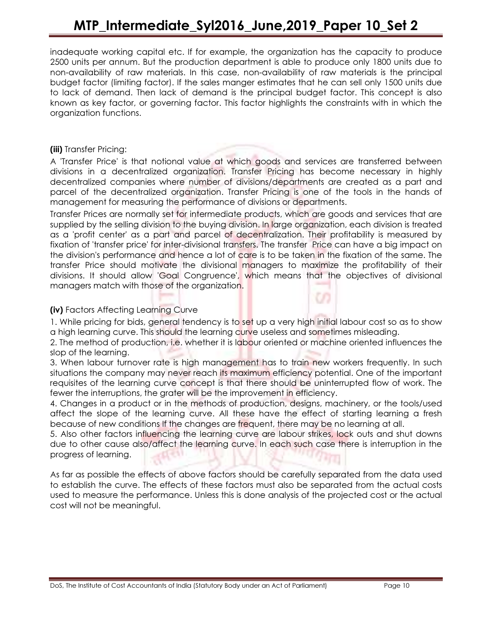inadequate working capital etc. If for example, the organization has the capacity to produce 2500 units per annum. But the production department is able to produce only 1800 units due to non-availability of raw materials. In this case, non-availability of raw materials is the principal budget factor (limiting factor). If the sales manger estimates that he can sell only 1500 units due to lack of demand. Then lack of demand is the principal budget factor. This concept is also known as key factor, or governing factor. This factor highlights the constraints with in which the organization functions.

#### (iii) Transfer Pricing:

A 'Transfer Price' is that notional value at which goods and services are transferred between divisions in a decentralized organization. Transfer Pricing has become necessary in highly decentralized companies where number of divisions/departments are created as a part and parcel of the decentralized organization. Transfer Pricing is one of the tools in the hands of management for measuring the performance of divisions or departments.

Transfer Prices are normally set for intermediate products, which are goods and services that are supplied by the selling division to the buying division. In large organization, each division is treated as a 'profit center' as a part and parcel of decentralization. Their profitability is measured by fixation of 'transfer price' for inter-divisional transfers. The transfer Price can have a big impact on the division's performance and hence a lot of care is to be taken in the fixation of the same. The transfer Price should motivate the divisional managers to maximize the profitability of their divisions. It should allow 'Goal Congruence', which means that the objectives of divisional managers match with those of the organization.

#### (iv) Factors Affecting Learning Curve

1. While pricing for bids, general tendency is to set up a very high initial labour cost so as to show a high learning curve. This should the learning curve useless and sometimes misleading.

2. The method of production, i.e. whether it is labour oriented or machine oriented influences the slop of the learning.

3. When labour turnover rate is high management has to train new workers frequently. In such situations the company may never reach its maximum efficiency potential. One of the important requisites of the learning curve concept is that there should be uninterrupted flow of work. The fewer the interruptions, the grater will be the improvement in efficiency.

4. Changes in a product or in the methods of production, designs, machinery, or the tools/used affect the slope of the learning curve. All these have the effect of starting learning a fresh because of new conditions If the changes are frequent, there may be no learning at all.

5. Also other factors influencing the learning curve are labour strikes, lock outs and shut downs due to other cause also/affect the learning curve. In each such case there is interruption in the progress of learning.

As far as possible the effects of above factors should be carefully separated from the data used to establish the curve. The effects of these factors must also be separated from the actual costs used to measure the performance. Unless this is done analysis of the projected cost or the actual cost will not be meaningful.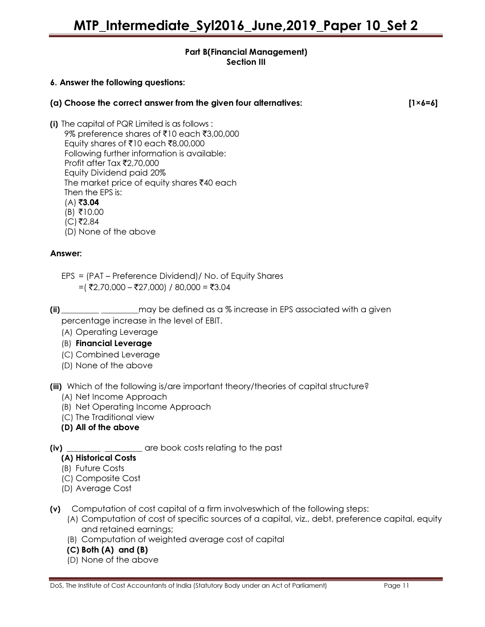#### Part B(Financial Management) Section III

#### 6. Answer the following questions:

| (a) Choose the correct answer from the given four alternatives: | $[1 \times 6 = 6]$ |
|-----------------------------------------------------------------|--------------------|
|                                                                 |                    |

- (i) The capital of PQR Limited is as follows : 9% preference shares of ₹10 each ₹3,00,000 Equity shares of ₹10 each ₹8,00,000 Following further information is available: Profit after Tax  $\bar{\mathfrak{r}}$ 2,70,000 Equity Dividend paid 20% The market price of equity shares  $\bar{x}$ 40 each Then the EPS is:  $(A)$ ₹3.04  $(B)$  ₹10.00
	- $(C)$ ₹2.84 (D) None of the above

#### Answer:

- EPS = (PAT Preference Dividend)/ No. of Equity Shares  $=$ (₹2,70,000 – ₹27,000) / 80,000 = ₹3.04
- 

(ii) \_\_\_\_\_\_\_\_\_ \_\_\_\_\_\_\_\_\_may be defined as a % increase in EPS associated with a given percentage increase in the level of EBIT.

(A) Operating Leverage

- (B) Financial Leverage
- (C) Combined Leverage
- (D) None of the above

(iii) Which of the following is/are important theory/theories of capital structure?

- (A) Net Income Approach
- (B) Net Operating Income Approach
- (C) The Traditional view
- (D) All of the above

(iv) \_\_\_\_\_\_\_\_ \_\_\_\_\_\_\_\_\_ are book costs relating to the past

#### (A) Historical Costs

- (B) Future Costs
- (C) Composite Cost
- (D) Average Cost
- (v) Computation of cost capital of a firm involveswhich of the following steps:
	- (A) Computation of cost of specific sources of a capital, viz., debt, preference capital, equity and retained earnings;
	- (B) Computation of weighted average cost of capital
	- (C) Both (A) and (B)
	- (D) None of the above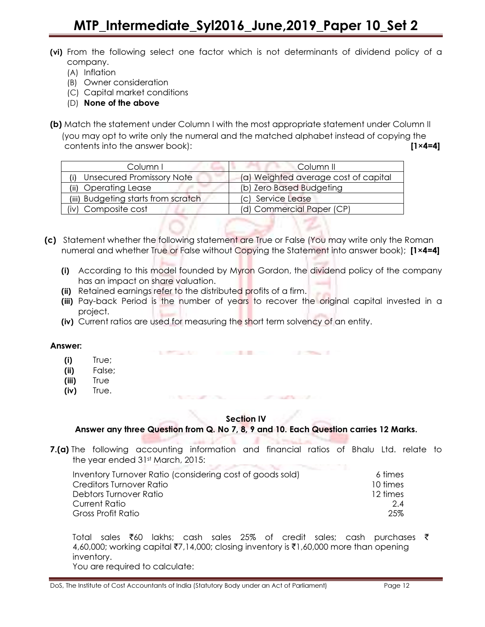- (vi) From the following select one factor which is not determinants of dividend policy of a company.
	- (A) Inflation
	- (B) Owner consideration
	- (C) Capital market conditions
	- (D) None of the above
- (b) Match the statement under Column I with the most appropriate statement under Column II (you may opt to write only the numeral and the matched alphabet instead of copying the contents into the answer book): [1×4=4]

| Column I                            | -Column II                           |
|-------------------------------------|--------------------------------------|
| <b>Unsecured Promissory Note</b>    | (a) Weighted average cost of capital |
| (ii) Operating Lease                | (b) Zero Based Budgeting             |
| (iii) Budgeting starts from scratch | (c) Service Lease                    |
| (iv) Composite cost                 | (d) Commercial Paper (CP)            |

- (c) Statement whether the following statement are True or False (You may write only the Roman numeral and whether True or False without Copying the Statement into answer book); [1×4=4]
	- (i) According to this model founded by Myron Gordon, the dividend policy of the company has an impact on share valuation.
	- (ii) Retained earnings refer to the distributed profits of a firm.
	- (iii) Pay-back Period is the number of years to recover the original capital invested in a project.
	- (iv) Current ratios are used for measuring the short term solvency of an entity.

The Merchant Editor Company of the Marine Company of the Company of the Company of

the first officer and the company

#### Answer:

- (i) True;
- (ii) False;
- (iii) True
- (iv) True.

#### Section IV

#### Answer any three Question from Q. No 7, 8, 9 and 10. Each Question carries 12 Marks.

7.(a) The following accounting information and financial ratios of Bhalu Ltd. relate to the year ended 31st March, 2015:

| Inventory Turnover Ratio (considering cost of goods sold) | 6 times  |
|-----------------------------------------------------------|----------|
| Creditors Turnover Ratio                                  | 10 times |
| Debtors Turnover Ratio                                    | 12 times |
| Current Ratio                                             | 2.4      |
| Gross Profit Ratio                                        | 25%      |

Total sales  $\bar{z}$ 60 lakhs; cash sales 25% of credit sales; cash purchases  $\bar{z}$ 4,60,000; working capital ₹7,14,000; closing inventory is ₹1,60,000 more than opening inventory. You are required to calculate: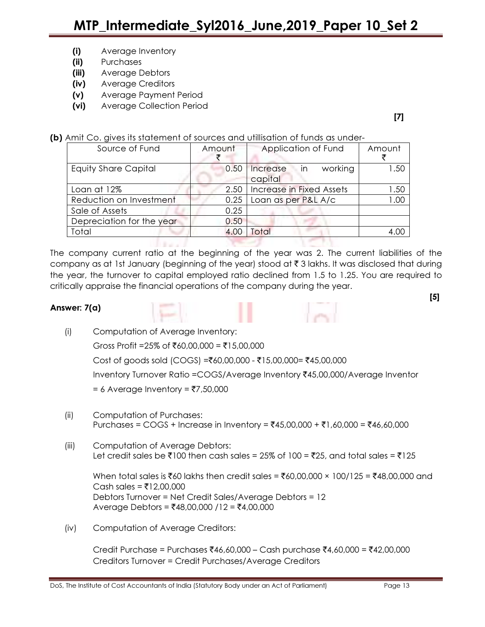- (i) Average Inventory
- (ii) Purchases
- (iii) Average Debtors
- (iv) Average Creditors
- (v) Average Payment Period
- (vi) Average Collection Period

[7]

(b) Amit Co. gives its statement of sources and utillisation of funds as under-

| Source of Fund              | Amount | Application of Fund                    | Amount           |
|-----------------------------|--------|----------------------------------------|------------------|
| <b>Equity Share Capital</b> | 0.50   | working<br>Increase<br>⊟in.<br>capital | .50              |
| Loan at 12%                 | 2.50   | <b>Increase in Fixed Assets</b>        | .50              |
| Reduction on Investment     | 0.25   | Loan as per P&L A/c                    | .00              |
| Sale of Assets              | 0.25   |                                        |                  |
| Depreciation for the year   | 0.50   |                                        |                  |
| Total                       | 4.00   | Total                                  | 4.0 <sup>1</sup> |
|                             |        |                                        |                  |

The company current ratio at the beginning of the year was 2. The current liabilities of the company as at 1st January (beginning of the year) stood at  $\bar{\tau}$  3 lakhs. It was disclosed that during the year, the turnover to capital employed ratio declined from 1.5 to 1.25. You are required to critically appraise the financial operations of the company during the year.

#### Answer: 7(a)





- (i) Computation of Average Inventory: Gross Profit =25% of ₹60,00,000 = ₹15,00,000  $Cost of goods sold (COGS) = ₹60,00,000 - ₹15,00,000 = ₹45,00,000$ Inventory Turnover Ratio =COGS/Average Inventory ₹45,00,000/Average Inventor  $= 6$  Average Inventory =  $7,50,000$
- (ii) Computation of Purchases: Purchases = COGS + Increase in Inventory = ₹45,00,000 + ₹1,60,000 = ₹46,60,000
- (iii) Computation of Average Debtors: Let credit sales be  $\bar{\zeta}$ 100 then cash sales = 25% of 100 =  $\bar{\zeta}$ 25, and total sales =  $\bar{\zeta}$ 125

 $W$ hen total sales is ₹60 lakhs then credit sales = ₹60,00,000 × 100/125 = ₹48,00,000 and Cash sales = ₹12,00,000 Debtors Turnover = Net Credit Sales/Average Debtors = 12 Average Debtors = ₹48,00,000 /12 = ₹4,00,000

(iv) Computation of Average Creditors:

Credit Purchase = Purchases ₹46,60,000 – Cash purchase ₹4,60,000 = ₹42,00,000 Creditors Turnover = Credit Purchases/Average Creditors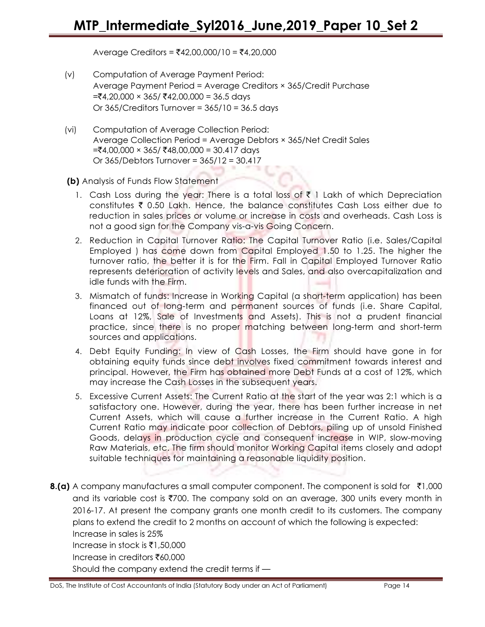Average Creditors =  $\overline{(}42,00,000/10)$  =  $\overline{(}4,20,000)$ 

- (v) Computation of Average Payment Period: Average Payment Period = Average Creditors × 365/Credit Purchase  $=\t54,20,000 \times 365$ /  $\t\overline{3}42,00,000 = 36.5$  days Or  $365/C$ reditors Turnover =  $365/10 = 36.5$  days
- (vi) Computation of Average Collection Period: Average Collection Period = Average Debtors × 365/Net Credit Sales  $=\tanh 4,00,000 \times 365/\tanh 48,00,000 = 30.417 \text{ days}$ Or 365/Debtors Turnover = 365/12 = 30.417

(b) Analysis of Funds Flow Statement

- 1. Cash Loss during the year: There is a total loss of  $\bar{\tau}$  1 Lakh of which Depreciation constitutes  $\bar{\tau}$  0.50 Lakh. Hence, the balance constitutes Cash Loss either due to reduction in sales prices or volume or increase in costs and overheads. Cash Loss is not a good sign for the Company vis-a-vis Going Concern.
- 2. Reduction in Capital Turnover Ratio: The Capital Turnover Ratio (i.e. Sales/Capital Employed ) has come down from Capital Employed 1.50 to 1.25. The higher the turnover ratio, the better it is for the Firm. Fall in Capital Employed Turnover Ratio represents deterioration of activity levels and Sales, and also overcapitalization and idle funds with the Firm.
- 3. Mismatch of funds: Increase in Working Capital (a short-term application) has been financed out of long-term and permanent sources of funds (i.e. Share Capital, Loans at 12%, Sale of Investments and Assets). This is not a prudent financial practice, since there is no proper matching between long-term and short-term sources and applications.
- 4. Debt Equity Funding: In view of Cash Losses, the Firm should have gone in for obtaining equity funds since debt involves fixed commitment towards interest and principal. However, the Firm has obtained more Debt Funds at a cost of 12%, which may increase the Cash Losses in the subsequent years.
- 5. Excessive Current Assets: The Current Ratio at the start of the year was 2:1 which is a satisfactory one. However, during the year, there has been further increase in net Current Assets, which will cause a further increase in the Current Ratio. A high Current Ratio may indicate poor collection of Debtors, piling up of unsold Finished Goods, delays in production cycle and consequent increase in WIP, slow-moving Raw Materials, etc. The firm should monitor Working Capital items closely and adopt suitable techniques for maintaining a reasonable liquidity position.
- **8.(a)** A company manufactures a small computer component. The component is sold for  $\bar{\tau}1,000$ and its variable cost is  $\overline{5700}$ . The company sold on an average, 300 units every month in 2016-17. At present the company grants one month credit to its customers. The company plans to extend the credit to 2 months on account of which the following is expected: Increase in sales is 25%

Increase in stock is  $\bar{\mathfrak{e}}$ 1,50,000

Increase in creditors  $\bar{x}$ 60,000

Should the company extend the credit terms if —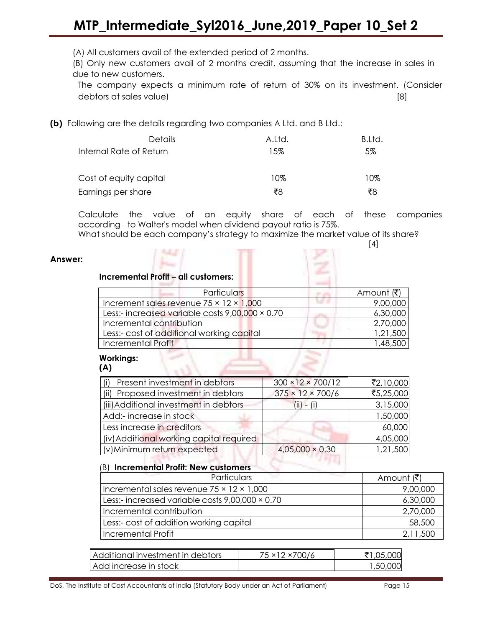(A) All customers avail of the extended period of 2 months.

(B) Only new customers avail of 2 months credit, assuming that the increase in sales in due to new customers.

The company expects a minimum rate of return of 30% on its investment. (Consider debtors at sales value) [8]

(b) Following are the details regarding two companies A Ltd. and B Ltd.:

| <b>Details</b>          | A.Ltd. | B.Ltd. |
|-------------------------|--------|--------|
| Internal Rate of Return | 15%    | 5%     |
| Cost of equity capital  | 10%    | 10%    |
| Earnings per share      | ₹8     | ₹8     |

Calculate the value of an equity share of each of these companies according to Walter's model when dividend payout ratio is 75%.

What should be each company's strategy to maximize the market value of its share?  $[4]$ 

#### Answer:

#### Incremental Profit – all customers:

| <b>Particulars</b>                                  | Amount (₹) |
|-----------------------------------------------------|------------|
| Increment sales revenue $75 \times 12 \times 1,000$ | 9,00,000   |
| Less:- increased variable costs 9,00,000 × 0.70     | 6,30,000   |
| Incremental contribution                            | 2,70,000   |
| Less:- cost of additional working capital           | 1,21,500   |
| Incremental Profit                                  | 48.500     |
|                                                     |            |

 $\mathbb{R}$   $\Rightarrow$   $\mathbb{R}$ 

### Workings:

| (i) Present investment in debtors        | $300 \times 12 \times 700/12$ | ₹2,10,000 |
|------------------------------------------|-------------------------------|-----------|
| (ii) Proposed investment in debtors      | $375 \times 12 \times 700/6$  | ₹5,25,000 |
| (iii) Additional investment in debtors   | $(ii) - (i)$                  | 3,15,000  |
| Add:- increase in stock                  |                               | 1,50,000  |
| Less increase in creditors               |                               | 60,000    |
| (iv) Additional working capital required |                               | 4,05,000  |
| (v) Minimum return expected              | $4,05,000 \times 0.30$        | 1,21,500  |

#### (B) Incremental Profit: New customers

| The commence of<br>The Committee of the<br>Particulars | Amount (₹) |
|--------------------------------------------------------|------------|
| Incremental sales revenue $75 \times 12 \times 1,000$  | 9,00,000   |
| Less:- increased variable costs $9,00,000 \times 0.70$ | 6,30,000   |
| Incremental contribution                               | 2,70,000   |
| Less:- cost of addition working capital                | 58,500     |
| Incremental Profit                                     | 2,11,500   |

| Additional investment in debtors | 75 × 12 × 700/6 | ₹1,05,000 |
|----------------------------------|-----------------|-----------|
| Add increase in stock            |                 | 1,50,000  |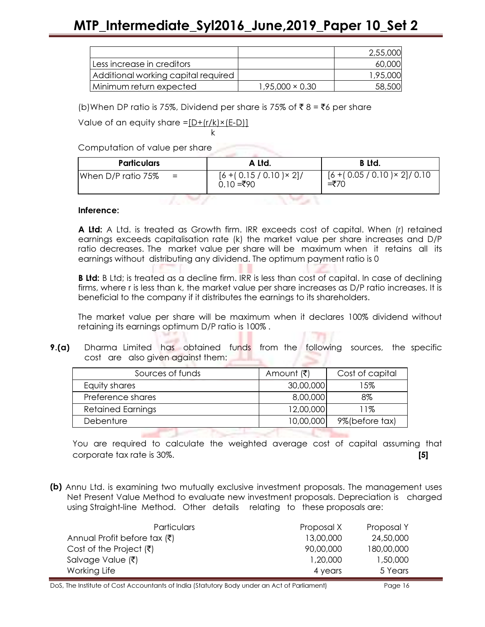|                                     |                        | 2,55,000 |
|-------------------------------------|------------------------|----------|
| Less increase in creditors          |                        | 60,000   |
| Additional working capital required |                        | 1,95,000 |
| Minimum return expected             | $1,95,000 \times 0.30$ | 58,500   |

(b)When DP ratio is 75%, Dividend per share is 75% of  $\bar{z}$  8 =  $\bar{z}$ 6 per share

Value of an equity share  $=[D+(r/k)x(E-D)]$ 

k bere alan berakhirnya dan ke Computation of value per share

| <b>Particulars</b> |          | A Ltd.                                       | <b>B</b> Ltd.                                   |  |
|--------------------|----------|----------------------------------------------|-------------------------------------------------|--|
| When D/P ratio 75% | $\equiv$ | $[6 + (0.15 / 0.10) \times 2]/$<br>0.10 =₹90 | $[6 + (0.05 / 0.10) \times 2]/ 0.10$<br>$= ₹70$ |  |
|                    |          |                                              |                                                 |  |

#### Inference:

**A Ltd:** A Ltd. is treated as Growth firm. IRR exceeds cost of capital. When (r) retained earnings exceeds capitalisation rate (k) the market value per share increases and D/P ratio decreases. The market value per share will be maximum when it retains all its earnings without distributing any dividend. The optimum payment ratio is 0

**B Ltd:** B Ltd; is treated as a decline firm. IRR is less than cost of capital. In case of declining firms, where r is less than k, the market value per share increases as D/P ratio increases. It is beneficial to the company if it distributes the earnings to its shareholders.

The market value per share will be maximum when it declares 100% dividend without retaining its earnings optimum D/P ratio is 100% .

**9.(a)** Dharma Limited has obtained funds from the following sources, the specific cost are also given against them:

| Sources of funds         | Amount (₹) | Cost of capital |  |
|--------------------------|------------|-----------------|--|
| Equity shares            | 30,00,000  | 15%             |  |
| Preference shares        | 8,00,000   | 8%              |  |
| <b>Retained Earnings</b> | 12,00,000  | 11%             |  |
| Debenture                | 10,00,000  | 9%(before tax)  |  |
|                          |            |                 |  |

You are required to calculate the weighted average cost of capital assuming that corporate tax rate is 30%. **[5] COLLEGE** 

(b) Annu Ltd. is examining two mutually exclusive investment proposals. The management uses Net Present Value Method to evaluate new investment proposals. Depreciation is charged using Straight-line Method. Other details relating to these proposals are:

| <b>Particulars</b>                  | Proposal X | Proposal Y |
|-------------------------------------|------------|------------|
| Annual Profit before tax (₹)        | 13,00,000  | 24,50,000  |
| Cost of the Project $(\bar{\zeta})$ | 90,00,000  | 180,00,000 |
| Salvage Value (₹)                   | 1,20,000   | 1,50,000   |
| Working Life                        | 4 years    | 5 Years    |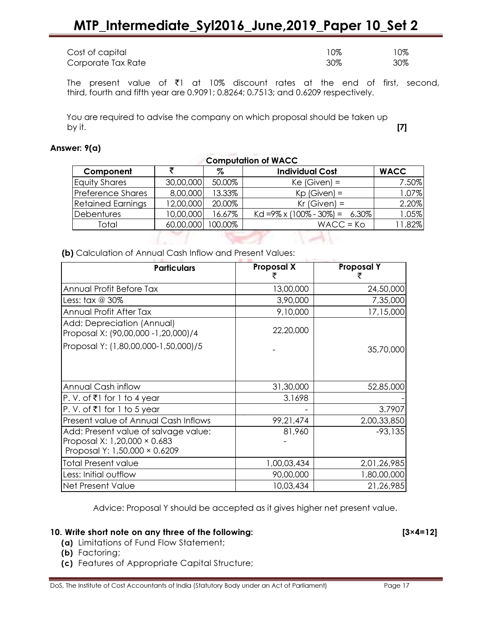| Cost of capital    | 10% | 0%  |
|--------------------|-----|-----|
| Corporate Tax Rate | 30% | 30% |

The present value of  $\bar{\tau}$ 1 at 10% discount rates at the end of first, second, third, fourth and fifth year are 0.9091; 0.8264; 0.7513; and 0.6209 respectively.

You are required to advise the company on which proposal should be taken up by it. [7]

#### Answer: 9(a)

| <b>Computation of WACC</b> |           |         |                                           |             |
|----------------------------|-----------|---------|-------------------------------------------|-------------|
| Component                  |           | Z       | <b>Individual Cost</b>                    | <b>WACC</b> |
| <b>Equity Shares</b>       | 30,00,000 | 50.00%  | $Ke(Given) =$                             | 7.50%       |
| Preference Shares          | 8,00,000  | 13.33%  | $Kp$ (Given) =                            | 1.07%       |
| <b>Retained Earnings</b>   | 12,00,000 | 20.00%  | $Kr$ (Given) =                            | 2.20%       |
| <b>Debentures</b>          | 10,00,000 | 16.67%  | Kd = $9\% \times (100\% - 30\%) = 6.30\%$ | 1.05%       |
| Total                      | 60,00,000 | 100.00% | $WACC = Ko$                               | 11.82%      |
|                            |           |         |                                           |             |

 $\sim$ 

(b) Calculation of Annual Cash Inflow and Present Values:

| <b>Proposal X</b> | <b>Proposal Y</b> |  |  |
|-------------------|-------------------|--|--|
| 13,00,000         | 24,50,000         |  |  |
| 3,90,000          | 7,35,000          |  |  |
| 9,10,000          | 17,15,000         |  |  |
| 22,20,000         |                   |  |  |
|                   | 35,70,000         |  |  |
|                   |                   |  |  |
| 31,30,000         | 52,85,000         |  |  |
| 3.1698            |                   |  |  |
|                   | 3.7907            |  |  |
| 99,21,474         | 2,00,33,850       |  |  |
| 81,960            | $-93,135$         |  |  |
|                   |                   |  |  |
|                   |                   |  |  |
| 1,00,03,434       | 2,01,26,985       |  |  |
| 90,00,000         | 1,80,00,000       |  |  |
| 10,03,434         | 21,26,985         |  |  |
|                   |                   |  |  |

Advice: Proposal Y should be accepted as it gives higher net present value.

#### 10. Write short note on any three of the following: [3×4=12]

- (a) Limitations of Fund Flow Statement;
- (b) Factoring;
- (c) Features of Appropriate Capital Structure;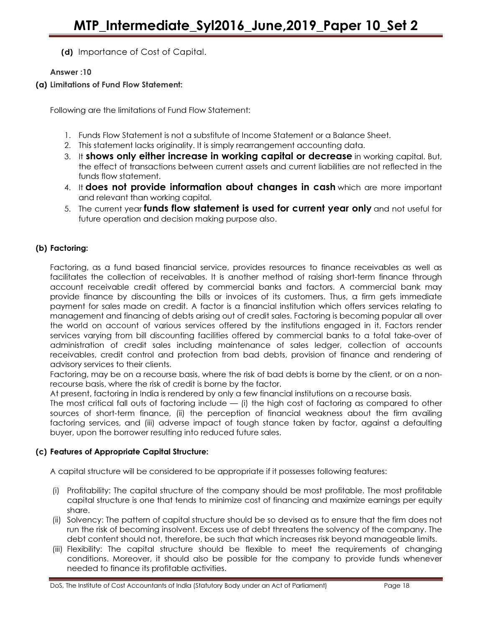(d) Importance of Cost of Capital.

#### Answer :10

#### (a) Limitations of Fund Flow Statement:

Following are the limitations of Fund Flow Statement:

- 1. Funds Flow Statement is not a substitute of Income Statement or a Balance Sheet.
- 2. This statement lacks originality. It is simply rearrangement accounting data.
- 3. It shows only either increase in working capital or decrease in working capital. But, the effect of transactions between current assets and current liabilities are not reflected in the funds flow statement.
- 4. It does not provide information about changes in cash which are more important and relevant than working capital.
- 5. The current year funds flow statement is used for current year only and not useful for future operation and decision making purpose also.

#### (b) Factoring:

Factoring, as a fund based financial service, provides resources to finance receivables as well as facilitates the collection of receivables. It is another method of raising short-term finance through account receivable credit offered by commercial banks and factors. A commercial bank may provide finance by discounting the bills or invoices of its customers. Thus, a firm gets immediate payment for sales made on credit. A factor is a financial institution which offers services relating to management and financing of debts arising out of credit sales. Factoring is becoming popular all over the world on account of various services offered by the institutions engaged in it. Factors render services varying from bill discounting facilities offered by commercial banks to a total take-over of administration of credit sales including maintenance of sales ledger, collection of accounts receivables, credit control and protection from bad debts, provision of finance and rendering of advisory services to their clients.

Factoring, may be on a recourse basis, where the risk of bad debts is borne by the client, or on a nonrecourse basis, where the risk of credit is borne by the factor.

At present, factoring in India is rendered by only a few financial institutions on a recourse basis.

The most critical fall outs of factoring include — (i) the high cost of factoring as compared to other sources of short-term finance, (ii) the perception of financial weakness about the firm availing factoring services, and (iii) adverse impact of tough stance taken by factor, against a defaulting buyer, upon the borrower resulting into reduced future sales.

#### (c) Features of Appropriate Capital Structure:

A capital structure will be considered to be appropriate if it possesses following features:

- (i) Profitability: The capital structure of the company should be most profitable. The most profitable capital structure is one that tends to minimize cost of financing and maximize earnings per equity share.
- (ii) Solvency: The pattern of capital structure should be so devised as to ensure that the firm does not run the risk of becoming insolvent. Excess use of debt threatens the solvency of the company. The debt content should not, therefore, be such that which increases risk beyond manageable limits.
- (iii) Flexibility: The capital structure should be flexible to meet the requirements of changing conditions. Moreover, it should also be possible for the company to provide funds whenever needed to finance its profitable activities.